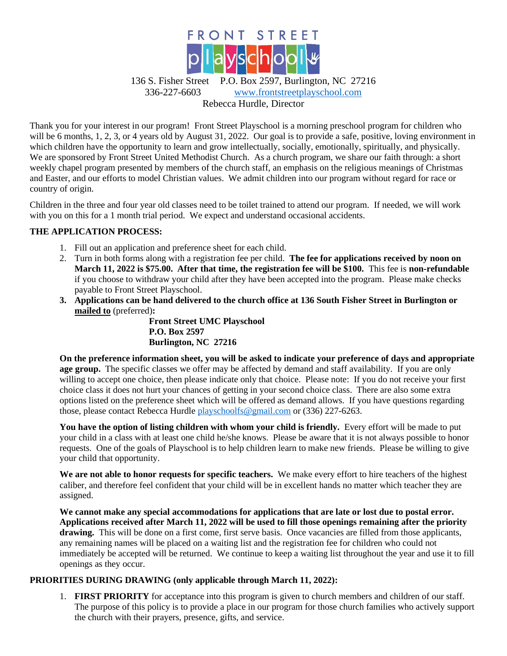

Thank you for your interest in our program! Front Street Playschool is a morning preschool program for children who will be 6 months, 1, 2, 3, or 4 years old by August 31, 2022. Our goal is to provide a safe, positive, loving environment in which children have the opportunity to learn and grow intellectually, socially, emotionally, spiritually, and physically. We are sponsored by Front Street United Methodist Church. As a church program, we share our faith through: a short weekly chapel program presented by members of the church staff, an emphasis on the religious meanings of Christmas and Easter, and our efforts to model Christian values. We admit children into our program without regard for race or country of origin.

Children in the three and four year old classes need to be toilet trained to attend our program. If needed, we will work with you on this for a 1 month trial period. We expect and understand occasional accidents.

# **THE APPLICATION PROCESS:**

- 1. Fill out an application and preference sheet for each child.
- 2. Turn in both forms along with a registration fee per child. **The fee for applications received by noon on March 11, 2022 is \$75.00. After that time, the registration fee will be \$100.** This fee is **non-refundable** if you choose to withdraw your child after they have been accepted into the program. Please make checks payable to Front Street Playschool.
- **3. Applications can be hand delivered to the church office at 136 South Fisher Street in Burlington or mailed to** (preferred)**:**

**Front Street UMC Playschool P.O. Box 2597 Burlington, NC 27216**

**On the preference information sheet, you will be asked to indicate your preference of days and appropriate age group.** The specific classes we offer may be affected by demand and staff availability. If you are only willing to accept one choice, then please indicate only that choice.Please note: If you do not receive your first choice class it does not hurt your chances of getting in your second choice class. There are also some extra options listed on the preference sheet which will be offered as demand allows. If you have questions regarding those, please contact Rebecca Hurdle [playschoolfs@gmail.com](mailto:playschoolfs@gmail.com) or (336) 227-6263.

**You have the option of listing children with whom your child is friendly.** Every effort will be made to put your child in a class with at least one child he/she knows. Please be aware that it is not always possible to honor requests. One of the goals of Playschool is to help children learn to make new friends. Please be willing to give your child that opportunity.

**We are not able to honor requests for specific teachers.** We make every effort to hire teachers of the highest caliber, and therefore feel confident that your child will be in excellent hands no matter which teacher they are assigned.

**We cannot make any special accommodations for applications that are late or lost due to postal error. Applications received after March 11, 2022 will be used to fill those openings remaining after the priority drawing.** This will be done on a first come, first serve basis. Once vacancies are filled from those applicants, any remaining names will be placed on a waiting list and the registration fee for children who could not immediately be accepted will be returned. We continue to keep a waiting list throughout the year and use it to fill openings as they occur.

# **PRIORITIES DURING DRAWING (only applicable through March 11, 2022):**

1. **FIRST PRIORITY** for acceptance into this program is given to church members and children of our staff. The purpose of this policy is to provide a place in our program for those church families who actively support the church with their prayers, presence, gifts, and service.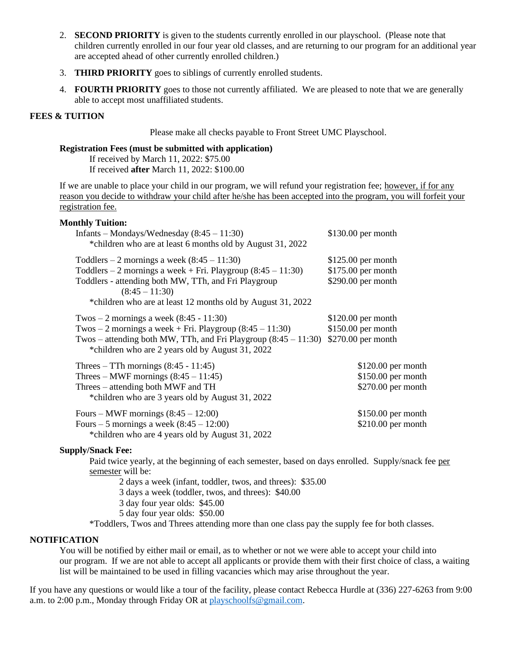- 2. **SECOND PRIORITY** is given to the students currently enrolled in our playschool. (Please note that children currently enrolled in our four year old classes, and are returning to our program for an additional year are accepted ahead of other currently enrolled children.)
- 3. **THIRD PRIORITY** goes to siblings of currently enrolled students.
- 4. **FOURTH PRIORITY** goes to those not currently affiliated. We are pleased to note that we are generally able to accept most unaffiliated students.

# **FEES & TUITION**

Please make all checks payable to Front Street UMC Playschool.

## **Registration Fees (must be submitted with application)**

If received by March 11, 2022: \$75.00 If received **after** March 11, 2022: \$100.00

If we are unable to place your child in our program, we will refund your registration fee; however, if for any reason you decide to withdraw your child after he/she has been accepted into the program, you will forfeit your registration fee.

#### **Monthly Tuition:**

| Infants – Mondays/Wednesday $(8:45 - 11:30)$<br>*children who are at least 6 months old by August 31, 2022                                                                                                                                                 | $$130.00$ per month                                               |
|------------------------------------------------------------------------------------------------------------------------------------------------------------------------------------------------------------------------------------------------------------|-------------------------------------------------------------------|
| Toddlers – 2 mornings a week $(8:45 - 11:30)$<br>Toddlers – 2 mornings a week + Fri. Playgroup $(8:45 - 11:30)$<br>Toddlers - attending both MW, TTh, and Fri Playgroup<br>$(8:45 - 11:30)$<br>*children who are at least 12 months old by August 31, 2022 | $$125.00$ per month<br>$$175.00$ per month<br>$$290.00$ per month |
| Twos – 2 mornings a week $(8:45 - 11:30)$<br>Twos $-2$ mornings a week + Fri. Playgroup $(8:45 - 11:30)$<br>Twos – attending both MW, TTh, and Fri Playgroup $(8:45 - 11:30)$<br>*children who are 2 years old by August 31, 2022                          | $$120.00$ per month<br>\$150.00 per month<br>$$270.00$ per month  |
| Threes $-$ TTh mornings (8:45 - 11:45)<br>Threes – MWF mornings $(8:45 - 11:45)$<br>Threes – attending both MWF and TH<br>*children who are 3 years old by August 31, 2022                                                                                 | $$120.00$ per month<br>$$150.00$ per month<br>\$270.00 per month  |
| Fours – MWF mornings $(8:45 - 12:00)$<br>Fours – 5 mornings a week $(8:45 - 12:00)$<br>*children who are 4 years old by August 31, 2022                                                                                                                    | $$150.00$ per month<br>$$210.00$ per month                        |

## **Supply/Snack Fee:**

Paid twice yearly, at the beginning of each semester, based on days enrolled. Supply/snack fee per semester will be:

2 days a week (infant, toddler, twos, and threes): \$35.00

3 days a week (toddler, twos, and threes): \$40.00

3 day four year olds: \$45.00

5 day four year olds: \$50.00

\*Toddlers, Twos and Threes attending more than one class pay the supply fee for both classes.

## **NOTIFICATION**

You will be notified by either mail or email, as to whether or not we were able to accept your child into our program. If we are not able to accept all applicants or provide them with their first choice of class, a waiting list will be maintained to be used in filling vacancies which may arise throughout the year.

If you have any questions or would like a tour of the facility, please contact Rebecca Hurdle at (336) 227-6263 from 9:00 a.m. to 2:00 p.m., Monday through Friday OR at [playschoolfs@gmail.com.](mailto:playschoolfs@gmail.com)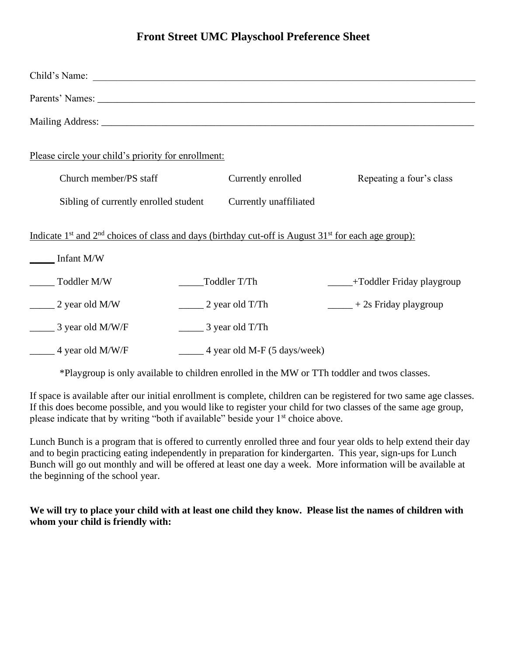# **Front Street UMC Playschool Preference Sheet**

| Child's Name:                                                                                                                                               |                                                  |                                     |
|-------------------------------------------------------------------------------------------------------------------------------------------------------------|--------------------------------------------------|-------------------------------------|
|                                                                                                                                                             |                                                  |                                     |
|                                                                                                                                                             |                                                  |                                     |
| Please circle your child's priority for enrollment:                                                                                                         |                                                  |                                     |
| Church member/PS staff                                                                                                                                      | Currently enrolled                               | Repeating a four's class            |
| Sibling of currently enrolled student                                                                                                                       | Currently unaffiliated                           |                                     |
| Indicate 1 <sup>st</sup> and 2 <sup>nd</sup> choices of class and days (birthday cut-off is August 31 <sup>st</sup> for each age group):<br>$\_$ Infant M/W |                                                  |                                     |
| Toddler M/W                                                                                                                                                 | Toddler T/Th                                     | - - Toddler Friday playgroup        |
| $\frac{1}{2}$ year old M/W                                                                                                                                  | $\frac{1}{2}$ year old T/Th                      | $\frac{1}{2}$ + 2s Friday playgroup |
| $\frac{1}{2}$ 3 year old M/W/F                                                                                                                              | $\frac{1}{2}$ 3 year old T/Th                    |                                     |
| 4 year old M/W/F                                                                                                                                            | $\frac{4 \text{ year old M-F (5 days/week)}}{2}$ |                                     |

\*Playgroup is only available to children enrolled in the MW or TTh toddler and twos classes.

If space is available after our initial enrollment is complete, children can be registered for two same age classes. If this does become possible, and you would like to register your child for two classes of the same age group, please indicate that by writing "both if available" beside your  $1<sup>st</sup>$  choice above.

Lunch Bunch is a program that is offered to currently enrolled three and four year olds to help extend their day and to begin practicing eating independently in preparation for kindergarten. This year, sign-ups for Lunch Bunch will go out monthly and will be offered at least one day a week. More information will be available at the beginning of the school year.

**We will try to place your child with at least one child they know. Please list the names of children with whom your child is friendly with:**